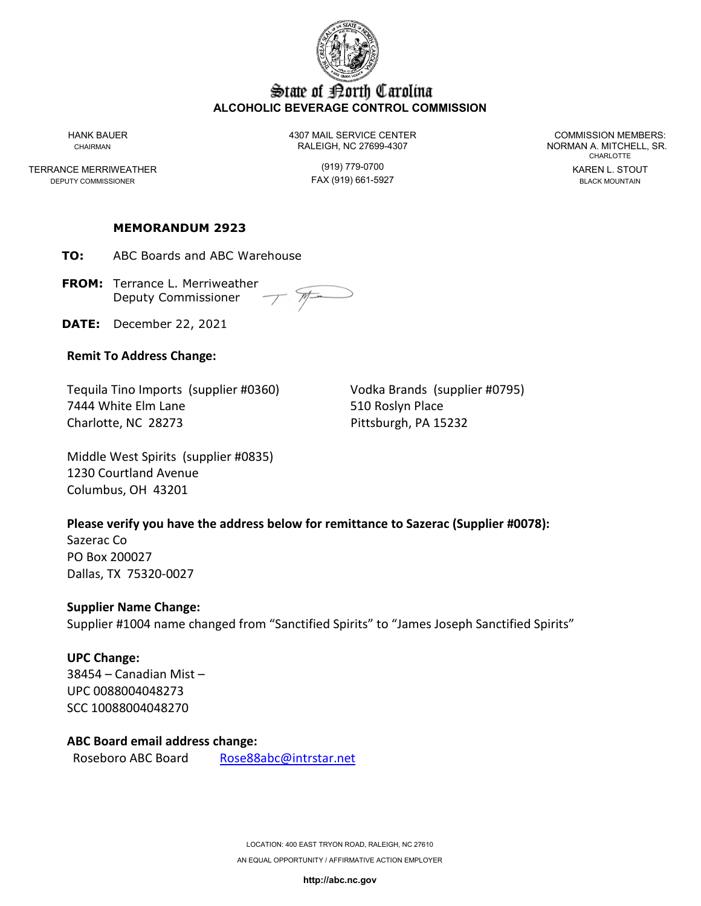

# State of Borth Carolina **ALCOHOLIC BEVERAGE CONTROL COMMISSION**

TERRANCE MERRIWEATHER (919) 779-0700 KAREN L. STOUT DEPUTY COMMISSIONER

HANK BAUER 4307 MAIL SERVICE CENTER COMMISSION MEMBERS: CHAIRMAN CHAIRMAN RALEIGH, NC 27699-4307 NORMAN A. MITCHELL, SR.

CHARLOTTE

#### **MEMORANDUM 2923**

**TO:** ABC Boards and ABC Warehouse

**FROM:** Terrance L. Merriweather Deputy Commissioner

**DATE:** December 22, 2021

### **Remit To Address Change:**

Tequila Tino Imports (supplier #0360) Vodka Brands (supplier #0795) 7444 White Elm Lane 510 Roslyn Place Charlotte, NC 28273 Pittsburgh, PA 15232

Middle West Spirits (supplier #0835) 1230 Courtland Avenue Columbus, OH 43201

### **Please verify you have the address below for remittance to Sazerac (Supplier #0078):**

Sazerac Co PO Box 200027 Dallas, TX 75320-0027

### **Supplier Name Change:**

Supplier #1004 name changed from "Sanctified Spirits" to "James Joseph Sanctified Spirits"

# **UPC Change:**

38454 – Canadian Mist – UPC 0088004048273 SCC 10088004048270

### **ABC Board email address change:**

Roseboro ABC Board [Rose88abc@intrstar.net](mailto:Rose88abc@intrstar.net)

LOCATION: 400 EAST TRYON ROAD, RALEIGH, NC 27610 AN EQUAL OPPORTUNITY / AFFIRMATIVE ACTION EMPLOYER

**http://abc.nc.gov**